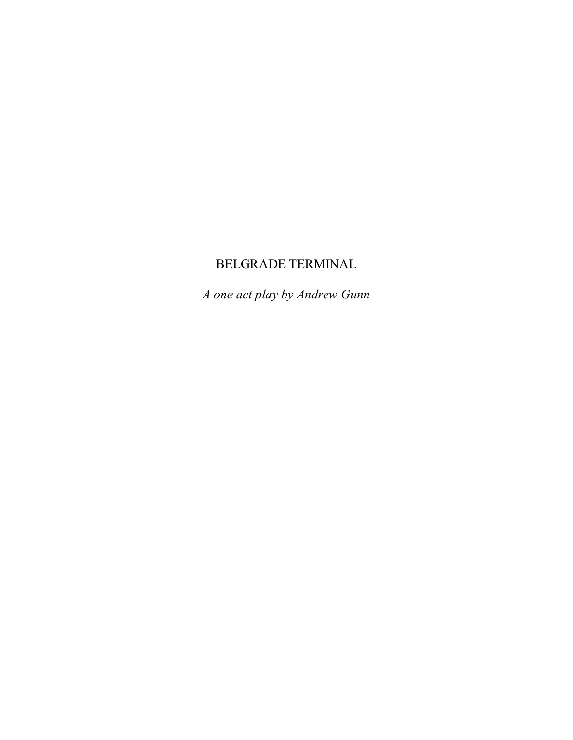# BELGRADE TERMINAL

*A one act play by Andrew Gunn*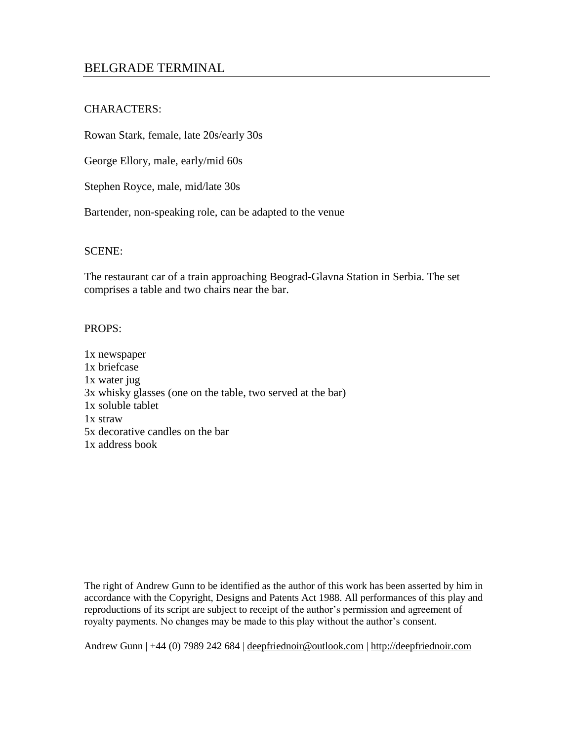# BELGRADE TERMINAL

# CHARACTERS:

Rowan Stark, female, late 20s/early 30s

George Ellory, male, early/mid 60s

Stephen Royce, male, mid/late 30s

Bartender, non-speaking role, can be adapted to the venue

## SCENE:

The restaurant car of a train approaching Beograd-Glavna Station in Serbia. The set comprises a table and two chairs near the bar.

## PROPS:

1x newspaper 1x briefcase 1x water jug 3x whisky glasses (one on the table, two served at the bar) 1x soluble tablet 1x straw 5x decorative candles on the bar 1x address book

The right of Andrew Gunn to be identified as the author of this work has been asserted by him in accordance with the Copyright, Designs and Patents Act 1988. All performances of this play and reproductions of its script are subject to receipt of the author's permission and agreement of royalty payments. No changes may be made to this play without the author's consent.

Andrew Gunn | +44 (0) 7989 242 684 | <u>deepfriednoir@outlook.com</u> | [http://deepfriednoir.com](http://deepfriednoir.com/)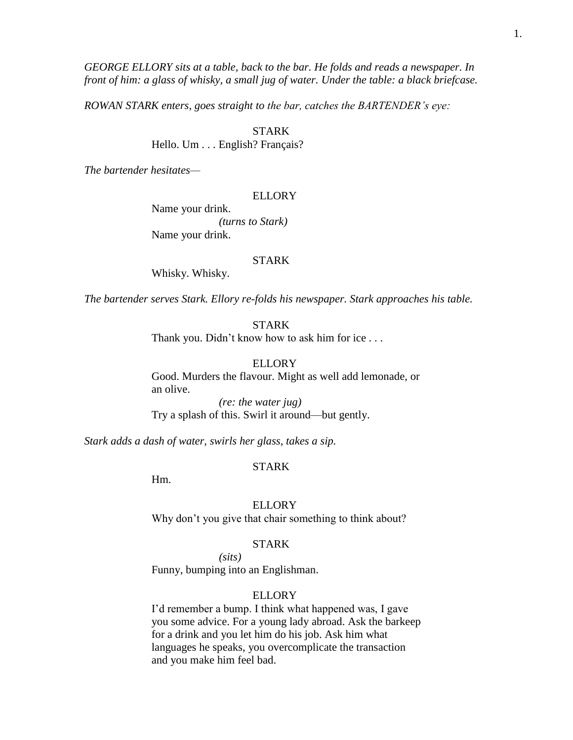1.

*GEORGE ELLORY sits at a table, back to the bar. He folds and reads a newspaper. In front of him: a glass of whisky, a small jug of water. Under the table: a black briefcase.*

*ROWAN STARK enters, goes straight to the bar, catches the BARTENDER's eye:*

STARK

Hello. Um . . . English? Français?

*The bartender hesitates—*

## ELLORY

Name your drink. *(turns to Stark)* Name your drink.

## STARK

Whisky. Whisky.

*The bartender serves Stark. Ellory re-folds his newspaper. Stark approaches his table.*

STARK

Thank you. Didn't know how to ask him for ice . . .

## ELLORY

Good. Murders the flavour. Might as well add lemonade, or an olive.

*(re: the water jug)* Try a splash of this. Swirl it around—but gently.

*Stark adds a dash of water, swirls her glass, takes a sip.*

## STARK

Hm.

## **ELLORY**

Why don't you give that chair something to think about?

# STARK

*(sits)*

Funny, bumping into an Englishman.

# ELLORY

I'd remember a bump. I think what happened was, I gave you some advice. For a young lady abroad. Ask the barkeep for a drink and you let him do his job. Ask him what languages he speaks, you overcomplicate the transaction and you make him feel bad.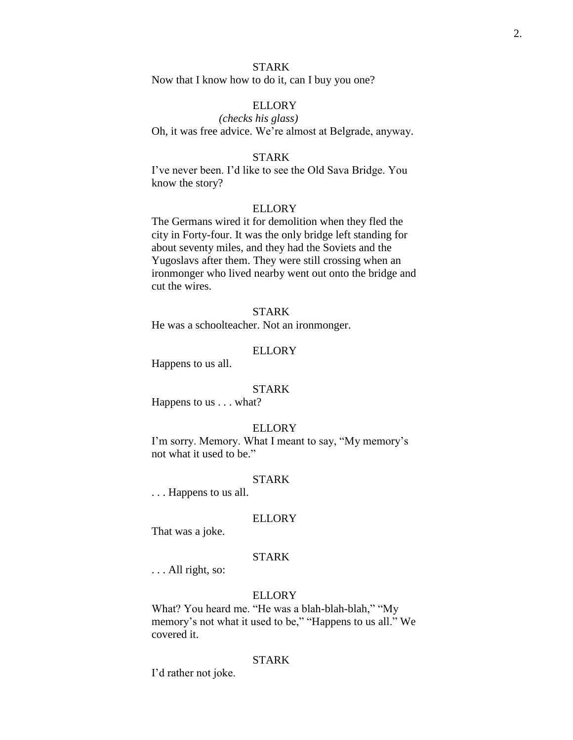Now that I know how to do it, can I buy you one?

## ELLORY

*(checks his glass)* Oh, it was free advice. We're almost at Belgrade, anyway.

#### STARK

I've never been. I'd like to see the Old Sava Bridge. You know the story?

#### ELLORY

The Germans wired it for demolition when they fled the city in Forty-four. It was the only bridge left standing for about seventy miles, and they had the Soviets and the Yugoslavs after them. They were still crossing when an ironmonger who lived nearby went out onto the bridge and cut the wires.

## STARK

He was a schoolteacher. Not an ironmonger.

## ELLORY

Happens to us all.

#### STARK

Happens to us . . . what?

#### ELLORY

I'm sorry. Memory. What I meant to say, "My memory's not what it used to be."

#### STARK

. . . Happens to us all.

#### ELLORY

That was a joke.

# STARK

. . . All right, so:

## ELLORY

What? You heard me. "He was a blah-blah-blah," "My memory's not what it used to be," "Happens to us all." We covered it.

#### STARK

I'd rather not joke.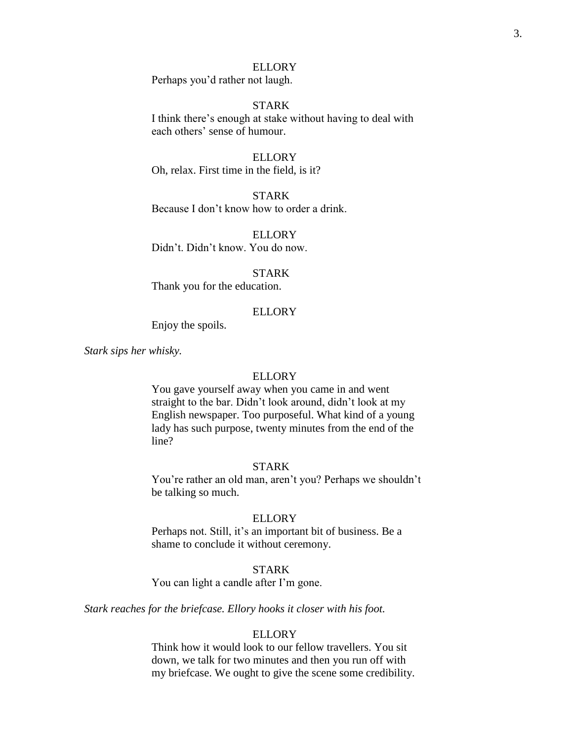Perhaps you'd rather not laugh.

## STARK

I think there's enough at stake without having to deal with each others' sense of humour.

## ELLORY

Oh, relax. First time in the field, is it?

## **STARK**

Because I don't know how to order a drink.

**ELLORY** Didn't. Didn't know. You do now.

## STARK

Thank you for the education.

#### **ELLORY**

Enjoy the spoils.

*Stark sips her whisky.*

## ELLORY

You gave yourself away when you came in and went straight to the bar. Didn't look around, didn't look at my English newspaper. Too purposeful. What kind of a young lady has such purpose, twenty minutes from the end of the line?

#### STARK

You're rather an old man, aren't you? Perhaps we shouldn't be talking so much.

#### ELLORY

Perhaps not. Still, it's an important bit of business. Be a shame to conclude it without ceremony.

## STARK

You can light a candle after I'm gone.

*Stark reaches for the briefcase. Ellory hooks it closer with his foot.*

## **ELLORY**

Think how it would look to our fellow travellers. You sit down, we talk for two minutes and then you run off with my briefcase. We ought to give the scene some credibility.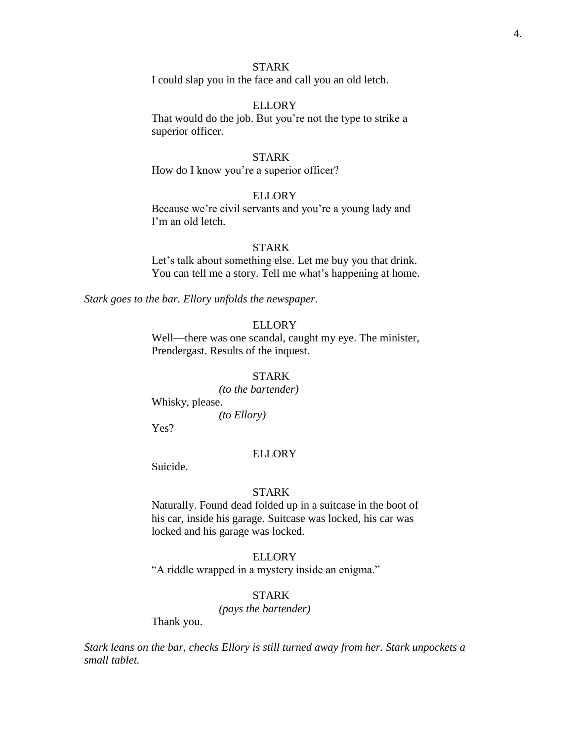I could slap you in the face and call you an old letch.

## ELLORY

That would do the job. But you're not the type to strike a superior officer.

## STARK

How do I know you're a superior officer?

## ELLORY

Because we're civil servants and you're a young lady and I'm an old letch.

#### STARK

Let's talk about something else. Let me buy you that drink. You can tell me a story. Tell me what's happening at home.

*Stark goes to the bar. Ellory unfolds the newspaper.*

## ELLORY

Well—there was one scandal, caught my eye. The minister, Prendergast. Results of the inquest.

## STARK

*(to the bartender)* Whisky, please.

*(to Ellory)*

Yes?

#### **ELLORY**

Suicide.

#### STARK

Naturally. Found dead folded up in a suitcase in the boot of his car, inside his garage. Suitcase was locked, his car was locked and his garage was locked.

# ELLORY

"A riddle wrapped in a mystery inside an enigma."

# STARK

*(pays the bartender)*

Thank you.

*Stark leans on the bar, checks Ellory is still turned away from her. Stark unpockets a small tablet.*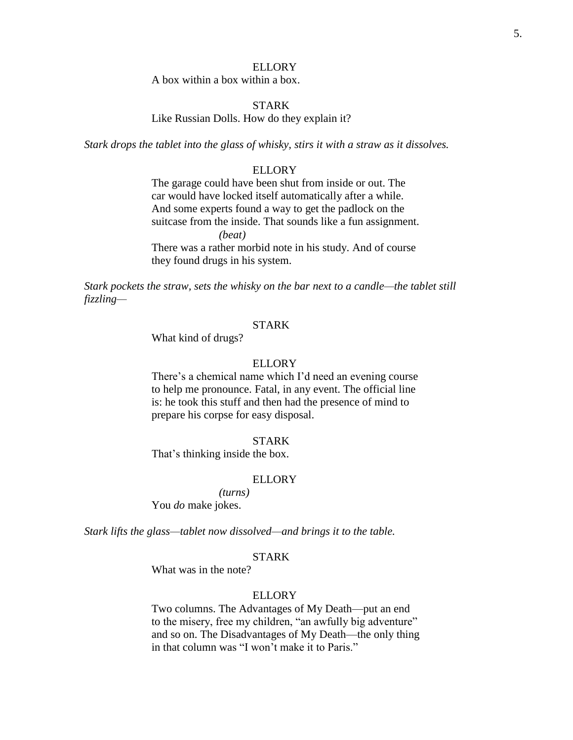A box within a box within a box.

## STARK

Like Russian Dolls. How do they explain it?

*Stark drops the tablet into the glass of whisky, stirs it with a straw as it dissolves.*

#### ELLORY

The garage could have been shut from inside or out. The car would have locked itself automatically after a while. And some experts found a way to get the padlock on the suitcase from the inside. That sounds like a fun assignment. *(beat)* There was a rather morbid note in his study. And of course

they found drugs in his system.

*Stark pockets the straw, sets the whisky on the bar next to a candle—the tablet still fizzling—*

## STARK

What kind of drugs?

#### ELLORY

There's a chemical name which I'd need an evening course to help me pronounce. Fatal, in any event. The official line is: he took this stuff and then had the presence of mind to prepare his corpse for easy disposal.

#### STARK

That's thinking inside the box.

## ELLORY

*(turns)* You *do* make jokes.

*Stark lifts the glass—tablet now dissolved—and brings it to the table.*

## STARK

What was in the note?

## **ELLORY**

Two columns. The Advantages of My Death—put an end to the misery, free my children, "an awfully big adventure" and so on. The Disadvantages of My Death—the only thing in that column was "I won't make it to Paris."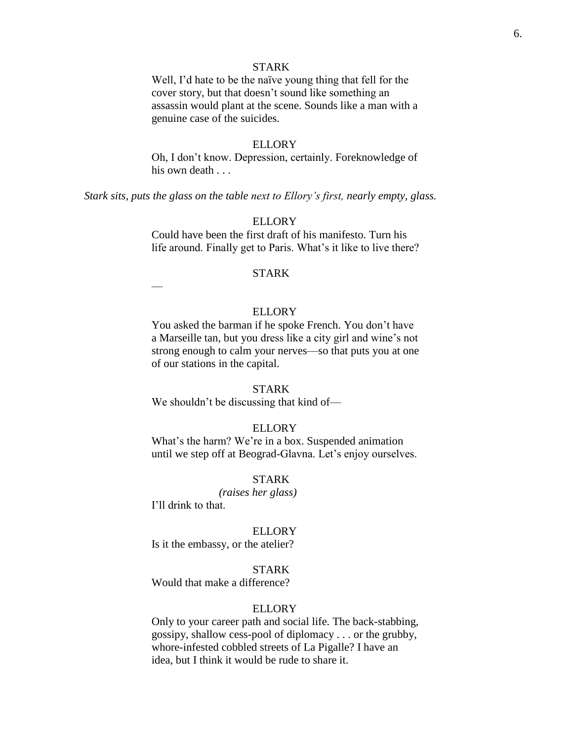Well, I'd hate to be the naïve young thing that fell for the cover story, but that doesn't sound like something an assassin would plant at the scene. Sounds like a man with a genuine case of the suicides.

#### ELLORY

Oh, I don't know. Depression, certainly. Foreknowledge of his own death . . .

*Stark sits, puts the glass on the table next to Ellory's first, nearly empty, glass.*

#### ELLORY

Could have been the first draft of his manifesto. Turn his life around. Finally get to Paris. What's it like to live there?

#### STARK

—

## **ELLORY**

You asked the barman if he spoke French. You don't have a Marseille tan, but you dress like a city girl and wine's not strong enough to calm your nerves—so that puts you at one of our stations in the capital.

#### STARK

We shouldn't be discussing that kind of—

#### ELLORY

What's the harm? We're in a box. Suspended animation until we step off at Beograd-Glavna. Let's enjoy ourselves.

## STARK

*(raises her glass)* I'll drink to that.

#### **ELLORY**

Is it the embassy, or the atelier?

## STARK

Would that make a difference?

## ELLORY

Only to your career path and social life. The back-stabbing, gossipy, shallow cess-pool of diplomacy . . . or the grubby, whore-infested cobbled streets of La Pigalle? I have an idea, but I think it would be rude to share it.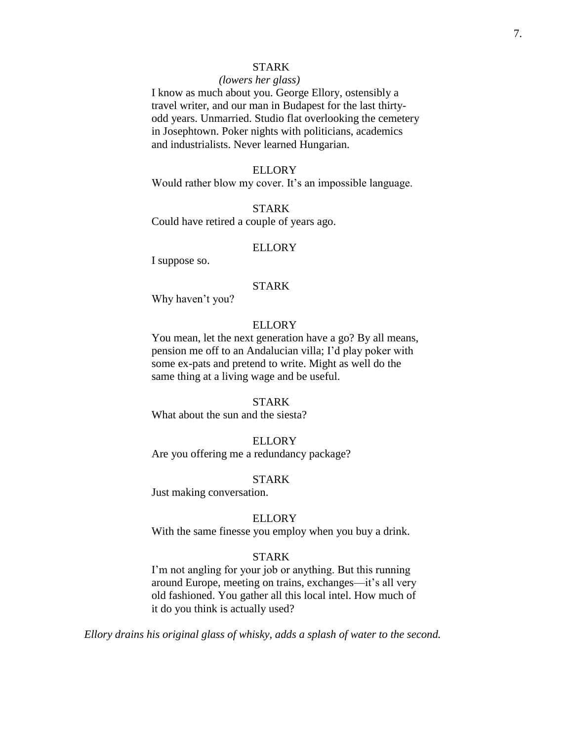#### *(lowers her glass)*

I know as much about you. George Ellory, ostensibly a travel writer, and our man in Budapest for the last thirtyodd years. Unmarried. Studio flat overlooking the cemetery in Josephtown. Poker nights with politicians, academics and industrialists. Never learned Hungarian.

## ELLORY

Would rather blow my cover. It's an impossible language.

## STARK

Could have retired a couple of years ago.

## **ELLORY**

I suppose so.

#### STARK

Why haven't you?

# ELLORY

You mean, let the next generation have a go? By all means, pension me off to an Andalucian villa; I'd play poker with some ex-pats and pretend to write. Might as well do the same thing at a living wage and be useful.

#### STARK

What about the sun and the siesta?

## **ELLORY**

Are you offering me a redundancy package?

## STARK

Just making conversation.

## ELLORY

With the same finesse you employ when you buy a drink.

## STARK

I'm not angling for your job or anything. But this running around Europe, meeting on trains, exchanges—it's all very old fashioned. You gather all this local intel. How much of it do you think is actually used?

*Ellory drains his original glass of whisky, adds a splash of water to the second.*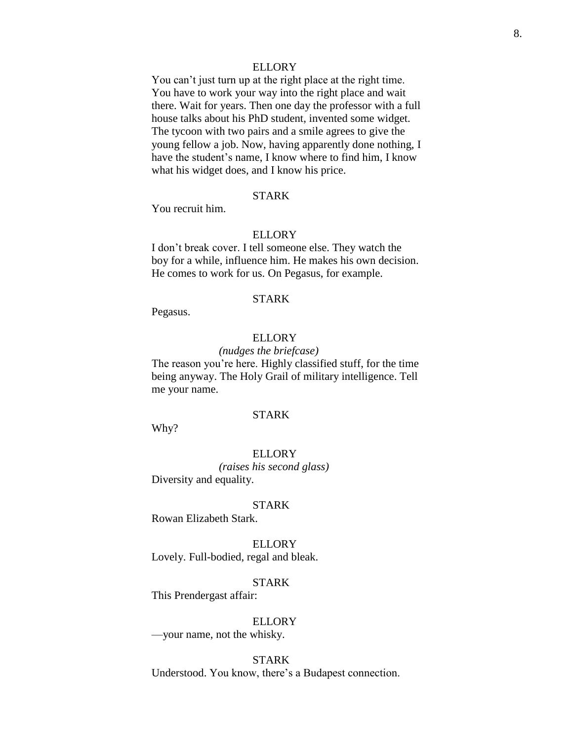You can't just turn up at the right place at the right time. You have to work your way into the right place and wait there. Wait for years. Then one day the professor with a full house talks about his PhD student, invented some widget. The tycoon with two pairs and a smile agrees to give the young fellow a job. Now, having apparently done nothing, I have the student's name, I know where to find him, I know what his widget does, and I know his price.

## STARK

You recruit him.

#### ELLORY

I don't break cover. I tell someone else. They watch the boy for a while, influence him. He makes his own decision. He comes to work for us. On Pegasus, for example.

## STARK

Pegasus.

#### **ELLORY**

*(nudges the briefcase)* The reason you're here. Highly classified stuff, for the time being anyway. The Holy Grail of military intelligence. Tell me your name.

# STARK

Why?

**ELLORY** *(raises his second glass)* Diversity and equality.

#### STARK

Rowan Elizabeth Stark.

ELLORY Lovely. Full-bodied, regal and bleak.

#### STARK

This Prendergast affair:

## ELLORY

—your name, not the whisky.

## STARK

Understood. You know, there's a Budapest connection.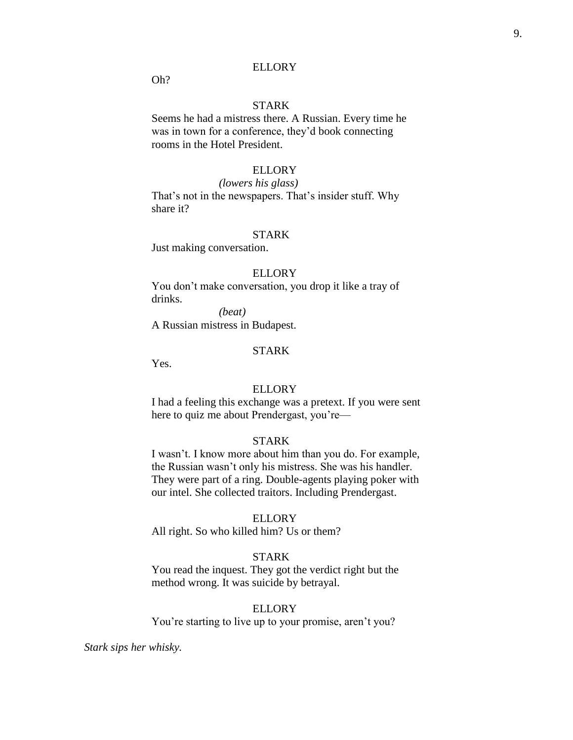Oh?

# STARK

Seems he had a mistress there. A Russian. Every time he was in town for a conference, they'd book connecting rooms in the Hotel President.

## ELLORY

## *(lowers his glass)*

That's not in the newspapers. That's insider stuff. Why share it?

#### STARK

Just making conversation.

#### ELLORY

You don't make conversation, you drop it like a tray of drinks.

*(beat)* A Russian mistress in Budapest.

#### STARK

Yes.

#### ELLORY

I had a feeling this exchange was a pretext. If you were sent here to quiz me about Prendergast, you're—

## STARK

I wasn't. I know more about him than you do. For example, the Russian wasn't only his mistress. She was his handler. They were part of a ring. Double-agents playing poker with our intel. She collected traitors. Including Prendergast.

#### ELLORY

All right. So who killed him? Us or them?

# STARK

You read the inquest. They got the verdict right but the method wrong. It was suicide by betrayal.

#### ELLORY

You're starting to live up to your promise, aren't you?

*Stark sips her whisky.*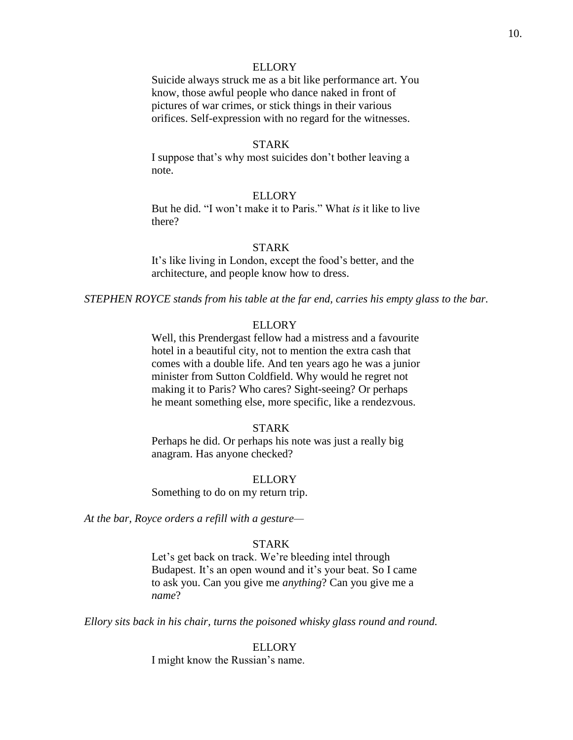Suicide always struck me as a bit like performance art. You know, those awful people who dance naked in front of pictures of war crimes, or stick things in their various orifices. Self-expression with no regard for the witnesses.

#### STARK

I suppose that's why most suicides don't bother leaving a note.

## ELLORY

But he did. "I won't make it to Paris." What *is* it like to live there?

#### STARK

It's like living in London, except the food's better, and the architecture, and people know how to dress.

*STEPHEN ROYCE stands from his table at the far end, carries his empty glass to the bar.*

## ELLORY

Well, this Prendergast fellow had a mistress and a favourite hotel in a beautiful city, not to mention the extra cash that comes with a double life. And ten years ago he was a junior minister from Sutton Coldfield. Why would he regret not making it to Paris? Who cares? Sight-seeing? Or perhaps he meant something else, more specific, like a rendezvous.

#### STARK

Perhaps he did. Or perhaps his note was just a really big anagram. Has anyone checked?

#### ELLORY

Something to do on my return trip.

*At the bar, Royce orders a refill with a gesture—*

## STARK

Let's get back on track. We're bleeding intel through Budapest. It's an open wound and it's your beat. So I came to ask you. Can you give me *anything*? Can you give me a *name*?

*Ellory sits back in his chair, turns the poisoned whisky glass round and round.*

## ELLORY

I might know the Russian's name.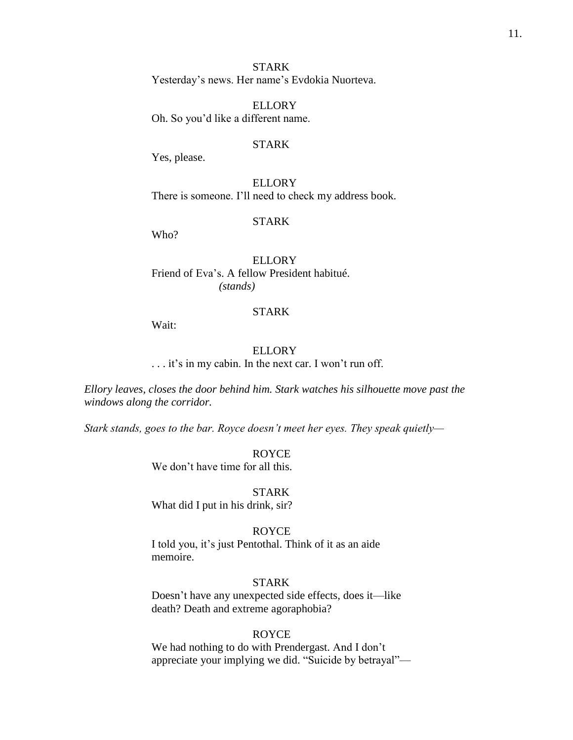STARK Yesterday's news. Her name's Evdokia Nuorteva.

ELLORY Oh. So you'd like a different name.

## STARK

Yes, please.

**ELLORY** There is someone. I'll need to check my address book.

#### STARK

Who?

ELLORY Friend of Eva's. A fellow President habitué. *(stands)*

## STARK

Wait:

#### ELLORY

. . . it's in my cabin. In the next car. I won't run off.

*Ellory leaves, closes the door behind him. Stark watches his silhouette move past the windows along the corridor.*

*Stark stands, goes to the bar. Royce doesn't meet her eyes. They speak quietly—*

ROYCE We don't have time for all this.

STARK What did I put in his drink, sir?

## ROYCE

I told you, it's just Pentothal. Think of it as an aide memoire.

#### STARK

Doesn't have any unexpected side effects, does it—like death? Death and extreme agoraphobia?

## ROYCE

We had nothing to do with Prendergast. And I don't appreciate your implying we did. "Suicide by betrayal"—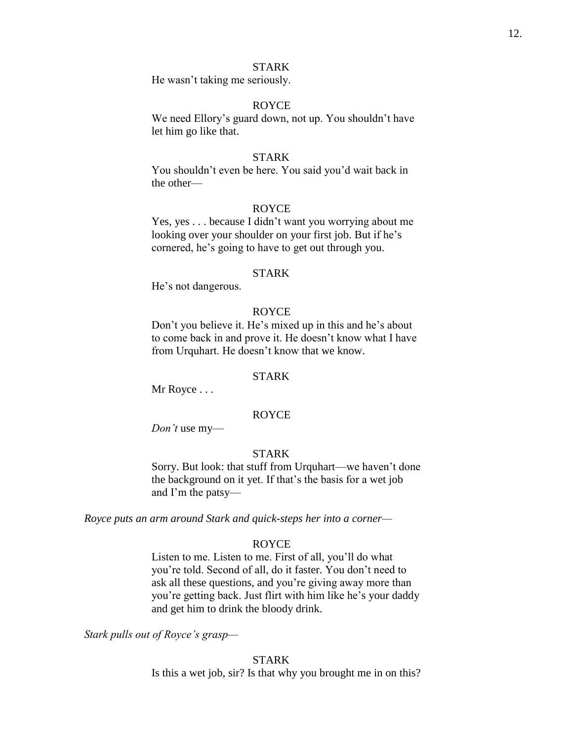He wasn't taking me seriously.

## ROYCE

We need Ellory's guard down, not up. You shouldn't have let him go like that.

#### STARK

You shouldn't even be here. You said you'd wait back in the other—

#### ROYCE

Yes, yes . . . because I didn't want you worrying about me looking over your shoulder on your first job. But if he's cornered, he's going to have to get out through you.

## STARK

He's not dangerous.

#### ROYCE

Don't you believe it. He's mixed up in this and he's about to come back in and prove it. He doesn't know what I have from Urquhart. He doesn't know that we know.

#### STARK

Mr Royce . . .

## ROYCE

*Don't* use my—

## STARK

Sorry. But look: that stuff from Urquhart—we haven't done the background on it yet. If that's the basis for a wet job and I'm the patsy—

*Royce puts an arm around Stark and quick-steps her into a corner—*

## ROYCE

Listen to me. Listen to me. First of all, you'll do what you're told. Second of all, do it faster. You don't need to ask all these questions, and you're giving away more than you're getting back. Just flirt with him like he's your daddy and get him to drink the bloody drink.

*Stark pulls out of Royce's grasp—*

## STARK

Is this a wet job, sir? Is that why you brought me in on this?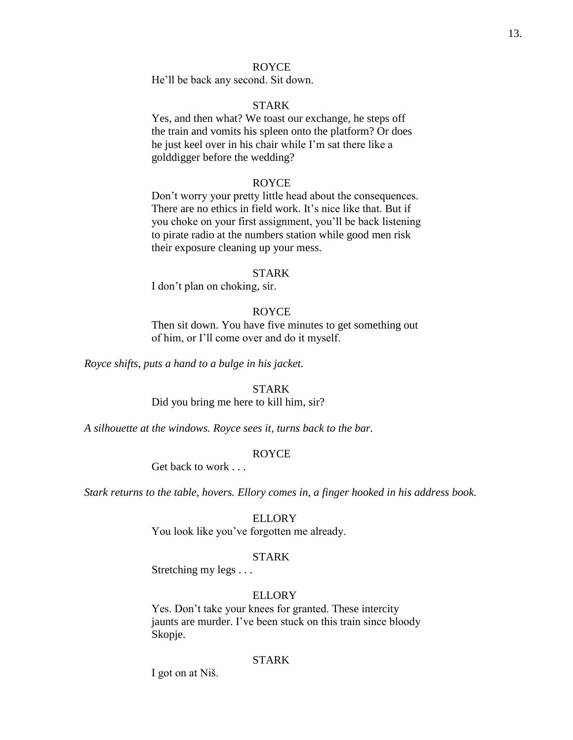## ROYCE

He'll be back any second. Sit down.

# STARK

Yes, and then what? We toast our exchange, he steps off the train and vomits his spleen onto the platform? Or does he just keel over in his chair while I'm sat there like a golddigger before the wedding?

## ROYCE

Don't worry your pretty little head about the consequences. There are no ethics in field work. It's nice like that. But if you choke on your first assignment, you'll be back listening to pirate radio at the numbers station while good men risk their exposure cleaning up your mess.

#### STARK

I don't plan on choking, sir.

## ROYCE

Then sit down. You have five minutes to get something out of him, or I'll come over and do it myself.

*Royce shifts, puts a hand to a bulge in his jacket.*

#### STARK

Did you bring me here to kill him, sir?

*A silhouette at the windows. Royce sees it, turns back to the bar.*

## ROYCE

Get back to work . . .

*Stark returns to the table, hovers. Ellory comes in, a finger hooked in his address book.*

#### ELLORY

You look like you've forgotten me already.

## STARK

Stretching my legs . . .

## **ELLORY**

Yes. Don't take your knees for granted. These intercity jaunts are murder. I've been stuck on this train since bloody Skopje.

## **STARK**

I got on at Niš.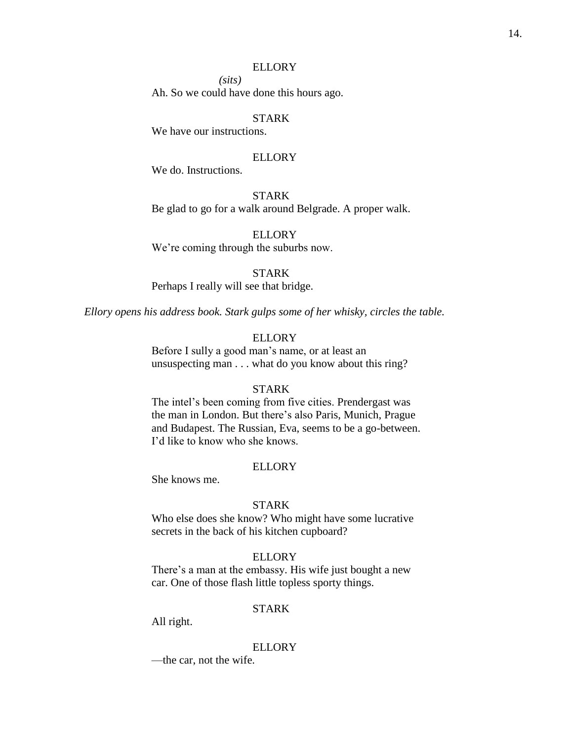*(sits)*

Ah. So we could have done this hours ago.

## STARK

We have our instructions.

#### ELLORY

We do. Instructions.

## STARK

Be glad to go for a walk around Belgrade. A proper walk.

ELLORY We're coming through the suburbs now.

#### STARK

Perhaps I really will see that bridge.

*Ellory opens his address book. Stark gulps some of her whisky, circles the table.*

## **ELLORY**

Before I sully a good man's name, or at least an unsuspecting man . . . what do you know about this ring?

#### STARK

The intel's been coming from five cities. Prendergast was the man in London. But there's also Paris, Munich, Prague and Budapest. The Russian, Eva, seems to be a go-between. I'd like to know who she knows.

#### **ELLORY**

She knows me.

## STARK

Who else does she know? Who might have some lucrative secrets in the back of his kitchen cupboard?

## ELLORY

There's a man at the embassy. His wife just bought a new car. One of those flash little topless sporty things.

## STARK

All right.

## ELLORY

—the car, not the wife.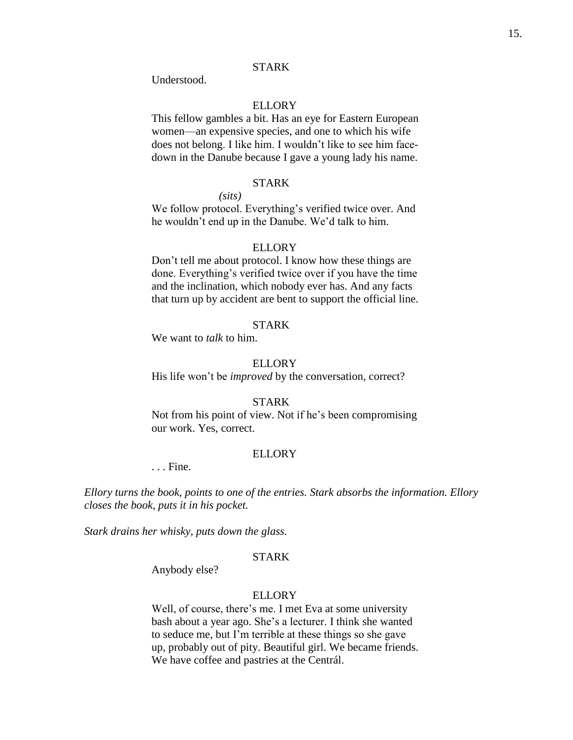Understood.

## ELLORY

This fellow gambles a bit. Has an eye for Eastern European women—an expensive species, and one to which his wife does not belong. I like him. I wouldn't like to see him facedown in the Danube because I gave a young lady his name.

#### STARK

*(sits)*

We follow protocol. Everything's verified twice over. And he wouldn't end up in the Danube. We'd talk to him.

#### **ELLORY**

Don't tell me about protocol. I know how these things are done. Everything's verified twice over if you have the time and the inclination, which nobody ever has. And any facts that turn up by accident are bent to support the official line.

## STARK

We want to *talk* to him.

#### **ELLORY**

His life won't be *improved* by the conversation, correct?

## STARK

Not from his point of view. Not if he's been compromising our work. Yes, correct.

#### **ELLORY**

. . . Fine.

*Ellory turns the book, points to one of the entries. Stark absorbs the information. Ellory closes the book, puts it in his pocket.*

*Stark drains her whisky, puts down the glass.*

# STARK

Anybody else?

## **ELLORY**

Well, of course, there's me. I met Eva at some university bash about a year ago. She's a lecturer. I think she wanted to seduce me, but I'm terrible at these things so she gave up, probably out of pity. Beautiful girl. We became friends. We have coffee and pastries at the Centrál.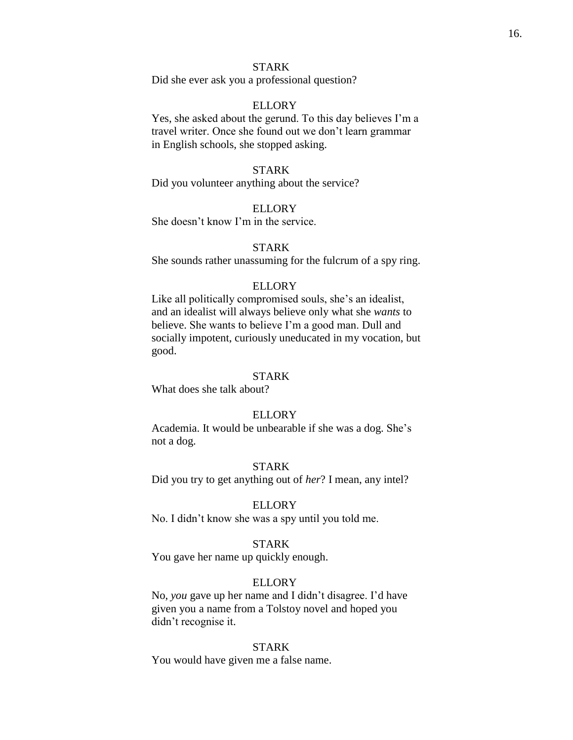Did she ever ask you a professional question?

#### ELLORY

Yes, she asked about the gerund. To this day believes I'm a travel writer. Once she found out we don't learn grammar in English schools, she stopped asking.

#### STARK

Did you volunteer anything about the service?

## ELLORY

She doesn't know I'm in the service.

## STARK

She sounds rather unassuming for the fulcrum of a spy ring.

#### ELLORY

Like all politically compromised souls, she's an idealist, and an idealist will always believe only what she *wants* to believe. She wants to believe I'm a good man. Dull and socially impotent, curiously uneducated in my vocation, but good.

#### STARK

What does she talk about?

## ELLORY

Academia. It would be unbearable if she was a dog. She's not a dog.

#### STARK

Did you try to get anything out of *her*? I mean, any intel?

#### **ELLORY**

No. I didn't know she was a spy until you told me.

## STARK

You gave her name up quickly enough.

#### ELLORY

No, *you* gave up her name and I didn't disagree. I'd have given you a name from a Tolstoy novel and hoped you didn't recognise it.

#### STARK

You would have given me a false name.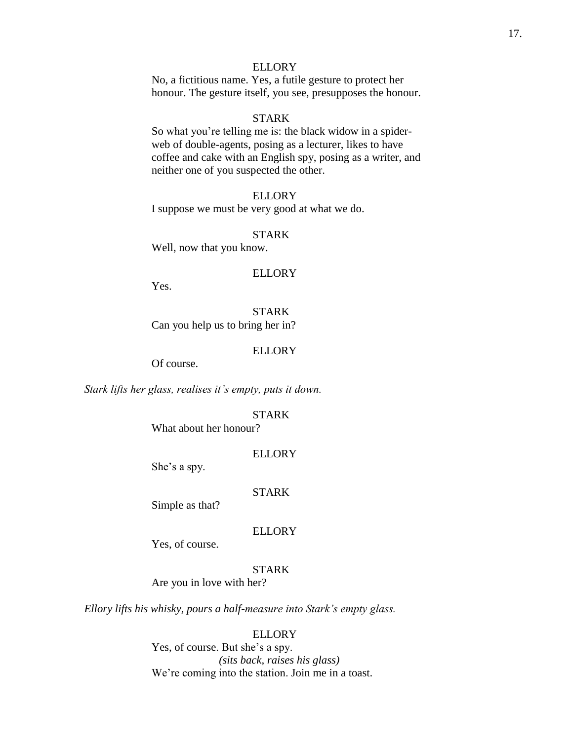No, a fictitious name. Yes, a futile gesture to protect her honour. The gesture itself, you see, presupposes the honour.

## STARK

So what you're telling me is: the black widow in a spiderweb of double-agents, posing as a lecturer, likes to have coffee and cake with an English spy, posing as a writer, and neither one of you suspected the other.

## ELLORY

I suppose we must be very good at what we do.

#### STARK

Well, now that you know.

#### ELLORY

Yes.

STARK Can you help us to bring her in?

#### ELLORY

Of course.

*Stark lifts her glass, realises it's empty, puts it down.*

## STARK

What about her honour?

## **ELLORY**

She's a spy.

## STARK

Simple as that?

## **ELLORY**

Yes, of course.

# STARK

Are you in love with her?

*Ellory lifts his whisky, pours a half-measure into Stark's empty glass.*

## ELLORY

Yes, of course. But she's a spy. *(sits back, raises his glass)* We're coming into the station. Join me in a toast.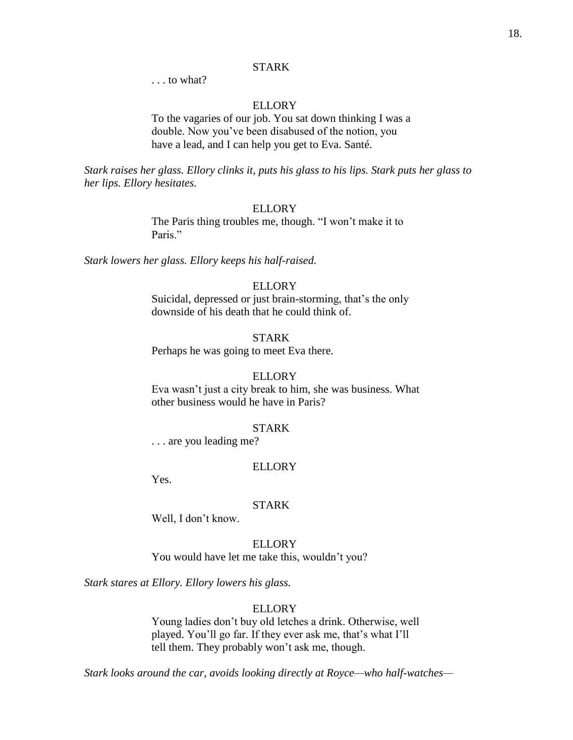. . . to what?

## ELLORY

To the vagaries of our job. You sat down thinking I was a double. Now you've been disabused of the notion, you have a lead, and I can help you get to Eva. Santé.

*Stark raises her glass. Ellory clinks it, puts his glass to his lips. Stark puts her glass to her lips. Ellory hesitates.*

#### ELLORY

The Paris thing troubles me, though. "I won't make it to Paris<sup>"</sup>

*Stark lowers her glass. Ellory keeps his half-raised.*

#### ELLORY

Suicidal, depressed or just brain-storming, that's the only downside of his death that he could think of.

#### **STARK**

Perhaps he was going to meet Eva there.

## **ELLORY**

Eva wasn't just a city break to him, she was business. What other business would he have in Paris?

#### STARK

. . . are you leading me?

#### **ELLORY**

Yes.

#### STARK

Well, I don't know.

## ELLORY

You would have let me take this, wouldn't you?

*Stark stares at Ellory. Ellory lowers his glass.*

## **ELLORY**

Young ladies don't buy old letches a drink. Otherwise, well played. You'll go far. If they ever ask me, that's what I'll tell them. They probably won't ask me, though.

*Stark looks around the car, avoids looking directly at Royce—who half-watches—*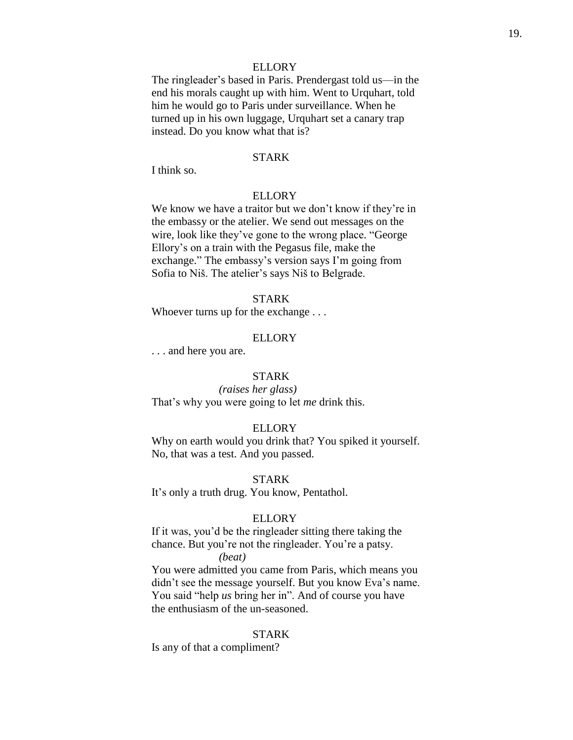The ringleader's based in Paris. Prendergast told us—in the end his morals caught up with him. Went to Urquhart, told him he would go to Paris under surveillance. When he turned up in his own luggage, Urquhart set a canary trap instead. Do you know what that is?

#### STARK

I think so.

## ELLORY

We know we have a traitor but we don't know if they're in the embassy or the atelier. We send out messages on the wire, look like they've gone to the wrong place. "George Ellory's on a train with the Pegasus file, make the exchange." The embassy's version says I'm going from Sofia to Niš. The atelier's says Niš to Belgrade.

## STARK

Whoever turns up for the exchange . . .

#### **ELLORY**

. . . and here you are.

## STARK

*(raises her glass)* That's why you were going to let *me* drink this.

#### ELLORY

Why on earth would you drink that? You spiked it yourself. No, that was a test. And you passed.

## STARK

It's only a truth drug. You know, Pentathol.

#### ELLORY

If it was, you'd be the ringleader sitting there taking the chance. But you're not the ringleader. You're a patsy.

## *(beat)*

You were admitted you came from Paris, which means you didn't see the message yourself. But you know Eva's name. You said "help *us* bring her in". And of course you have the enthusiasm of the un-seasoned.

## STARK

Is any of that a compliment?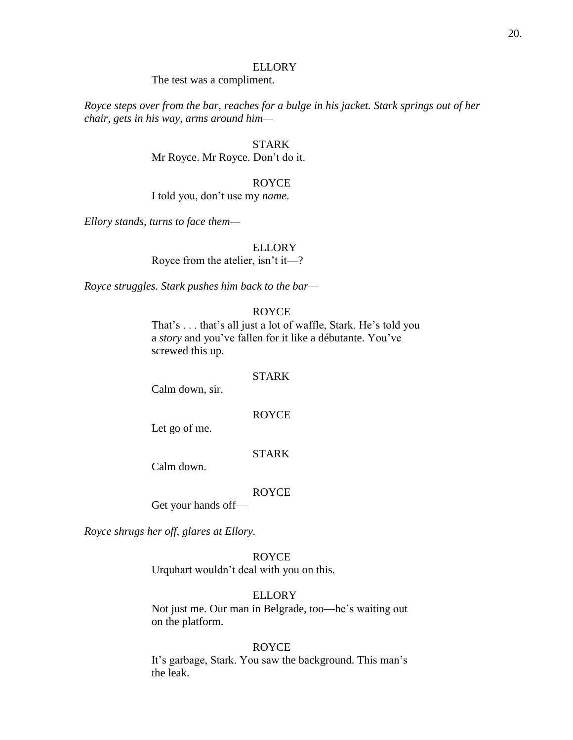The test was a compliment.

*Royce steps over from the bar, reaches for a bulge in his jacket. Stark springs out of her chair, gets in his way, arms around him—*

# STARK

Mr Royce. Mr Royce. Don't do it.

#### ROYCE

I told you, don't use my *name*.

*Ellory stands, turns to face them—*

## **ELLORY**

Royce from the atelier, isn't it—?

*Royce struggles. Stark pushes him back to the bar—*

#### ROYCE

That's . . . that's all just a lot of waffle, Stark. He's told you a *story* and you've fallen for it like a débutante. You've screwed this up.

#### STARK

Calm down, sir.

## ROYCE

Let go of me.

## STARK

Calm down.

## ROYCE

Get your hands off—

*Royce shrugs her off, glares at Ellory.*

## ROYCE

Urquhart wouldn't deal with you on this.

## ELLORY

Not just me. Our man in Belgrade, too—he's waiting out on the platform.

#### ROYCE

It's garbage, Stark. You saw the background. This man's the leak.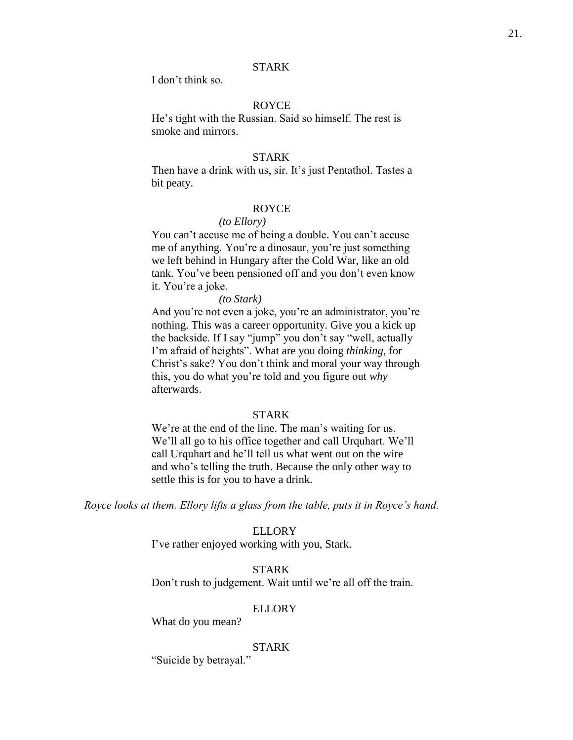I don't think so.

## ROYCE

He's tight with the Russian. Said so himself. The rest is smoke and mirrors.

#### STARK

Then have a drink with us, sir. It's just Pentathol. Tastes a bit peaty.

## ROYCE

## *(to Ellory)*

You can't accuse me of being a double. You can't accuse me of anything. You're a dinosaur, you're just something we left behind in Hungary after the Cold War, like an old tank. You've been pensioned off and you don't even know it. You're a joke.

#### *(to Stark)*

And you're not even a joke, you're an administrator, you're nothing. This was a career opportunity. Give you a kick up the backside. If I say "jump" you don't say "well, actually I'm afraid of heights". What are you doing *thinking*, for Christ's sake? You don't think and moral your way through this, you do what you're told and you figure out *why* afterwards.

## STARK

We're at the end of the line. The man's waiting for us. We'll all go to his office together and call Urquhart. We'll call Urquhart and he'll tell us what went out on the wire and who's telling the truth. Because the only other way to settle this is for you to have a drink.

*Royce looks at them. Ellory lifts a glass from the table, puts it in Royce's hand.*

## **ELLORY**

I've rather enjoyed working with you, Stark.

## STARK

Don't rush to judgement. Wait until we're all off the train.

#### ELLORY

What do you mean?

## STARK

"Suicide by betrayal."